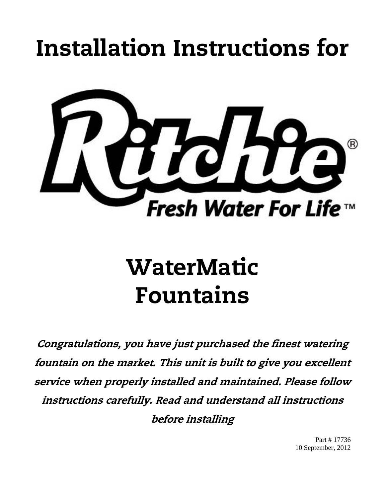## Installation Instructions for



# WaterMatic Fountains

Congratulations, you have just purchased the finest watering fountain on the market. This unit is built to give you excellent service when properly installed and maintained. Please follow instructions carefully. Read and understand all instructions before installing

> Part # 17736 10 September, 2012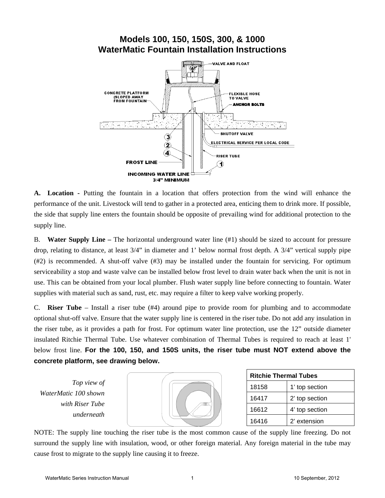## **Models 100, 150, 150S, 300, & 1000 WaterMatic Fountain Installation Instructions**



**A. Location -** Putting the fountain in a location that offers protection from the wind will enhance the performance of the unit. Livestock will tend to gather in a protected area, enticing them to drink more. If possible, the side that supply line enters the fountain should be opposite of prevailing wind for additional protection to the supply line.

B. **Water Supply Line –** The horizontal underground water line (#1) should be sized to account for pressure drop, relating to distance, at least 3/4" in diameter and 1' below normal frost depth. A 3/4" vertical supply pipe (#2) is recommended. A shut-off valve (#3) may be installed under the fountain for servicing. For optimum serviceability a stop and waste valve can be installed below frost level to drain water back when the unit is not in use. This can be obtained from your local plumber. Flush water supply line before connecting to fountain. Water supplies with material such as sand, rust, etc. may require a filter to keep valve working properly.

C. **Riser Tube** – Install a riser tube (#4) around pipe to provide room for plumbing and to accommodate optional shut-off valve. Ensure that the water supply line is centered in the riser tube. Do not add any insulation in the riser tube, as it provides a path for frost. For optimum water line protection, use the 12" outside diameter insulated Ritchie Thermal Tube. Use whatever combination of Thermal Tubes is required to reach at least 1' below frost line. **For the 100, 150, and 150S units, the riser tube must NOT extend above the concrete platform, see drawing below.**

*Top view of WaterMatic 100 shown with Riser Tube underneath* 



| <b>Ritchie Thermal Tubes</b> |                |  |  |  |  |
|------------------------------|----------------|--|--|--|--|
| 18158                        | 1' top section |  |  |  |  |
| 16417                        | 2' top section |  |  |  |  |
| 16612                        | 4' top section |  |  |  |  |
| 16416                        | 2' extension   |  |  |  |  |

NOTE: The supply line touching the riser tube is the most common cause of the supply line freezing. Do not surround the supply line with insulation, wood, or other foreign material. Any foreign material in the tube may cause frost to migrate to the supply line causing it to freeze.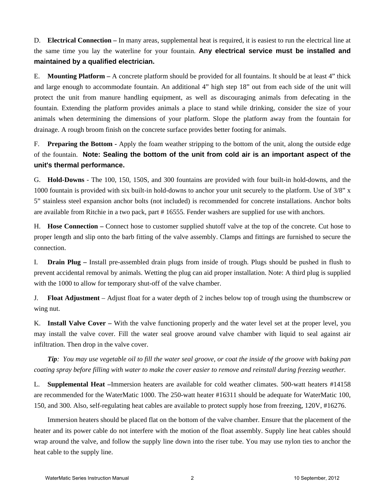D. **Electrical Connection –** In many areas, supplemental heat is required, it is easiest to run the electrical line at the same time you lay the waterline for your fountain. **Any electrical service must be installed and maintained by a qualified electrician.**

E. **Mounting Platform –** A concrete platform should be provided for all fountains. It should be at least 4" thick and large enough to accommodate fountain. An additional 4" high step 18" out from each side of the unit will protect the unit from manure handling equipment, as well as discouraging animals from defecating in the fountain. Extending the platform provides animals a place to stand while drinking, consider the size of your animals when determining the dimensions of your platform. Slope the platform away from the fountain for drainage. A rough broom finish on the concrete surface provides better footing for animals.

F. **Preparing the Bottom -** Apply the foam weather stripping to the bottom of the unit, along the outside edge of the fountain. **Note: Sealing the bottom of the unit from cold air is an important aspect of the unit's thermal performance.**

G. **Hold-Downs** - The 100, 150, 150S, and 300 fountains are provided with four built-in hold-downs, and the 1000 fountain is provided with six built-in hold-downs to anchor your unit securely to the platform. Use of 3/8" x 5" stainless steel expansion anchor bolts (not included) is recommended for concrete installations. Anchor bolts are available from Ritchie in a two pack, part # 16555. Fender washers are supplied for use with anchors.

H. **Hose Connection –** Connect hose to customer supplied shutoff valve at the top of the concrete. Cut hose to proper length and slip onto the barb fitting of the valve assembly. Clamps and fittings are furnished to secure the connection.

I. **Drain Plug –** Install pre-assembled drain plugs from inside of trough. Plugs should be pushed in flush to prevent accidental removal by animals. Wetting the plug can aid proper installation. Note: A third plug is supplied with the 1000 to allow for temporary shut-off of the valve chamber.

J. **Float Adjustment** – Adjust float for a water depth of 2 inches below top of trough using the thumbscrew or wing nut.

K. **Install Valve Cover –** With the valve functioning properly and the water level set at the proper level, you may install the valve cover. Fill the water seal groove around valve chamber with liquid to seal against air infiltration. Then drop in the valve cover.

*Tip: You may use vegetable oil to fill the water seal groove, or coat the inside of the groove with baking pan coating spray before filling with water to make the cover easier to remove and reinstall during freezing weather.* 

L. **Supplemental Heat –**Immersion heaters are available for cold weather climates. 500-watt heaters #14158 are recommended for the WaterMatic 1000. The 250-watt heater #16311 should be adequate for WaterMatic 100, 150, and 300. Also, self-regulating heat cables are available to protect supply hose from freezing, 120V, #16276.

Immersion heaters should be placed flat on the bottom of the valve chamber. Ensure that the placement of the heater and its power cable do not interfere with the motion of the float assembly. Supply line heat cables should wrap around the valve, and follow the supply line down into the riser tube. You may use nylon ties to anchor the heat cable to the supply line.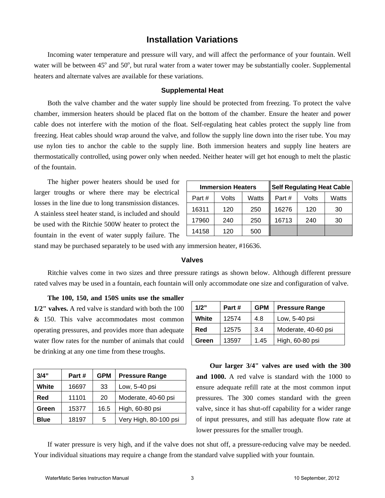## **Installation Variations**

Incoming water temperature and pressure will vary, and will affect the performance of your fountain. Well water will be between  $45^{\circ}$  and  $50^{\circ}$ , but rural water from a water tower may be substantially cooler. Supplemental heaters and alternate valves are available for these variations.

#### **Supplemental Heat**

Both the valve chamber and the water supply line should be protected from freezing. To protect the valve chamber, immersion heaters should be placed flat on the bottom of the chamber. Ensure the heater and power cable does not interfere with the motion of the float. Self-regulating heat cables protect the supply line from freezing. Heat cables should wrap around the valve, and follow the supply line down into the riser tube. You may use nylon ties to anchor the cable to the supply line. Both immersion heaters and supply line heaters are thermostatically controlled, using power only when needed. Neither heater will get hot enough to melt the plastic of the fountain.

The higher power heaters should be used for larger troughs or where there may be electrical losses in the line due to long transmission distances. A stainless steel heater stand, is included and should be used with the Ritchie 500W heater to protect the fountain in the event of water supply failure. The

| <b>Immersion Heaters</b> |       |       |       | <b>Self Regulating Heat Cable</b> |       |
|--------------------------|-------|-------|-------|-----------------------------------|-------|
| Part#                    | Volts | Watts | Part# | Volts                             | Watts |
| 16311                    | 120   | 250   | 16276 | 120                               | 30    |
| 17960                    | 240   | 250   | 16713 | 240                               | 30    |
| 14158                    | 120   | 500   |       |                                   |       |

stand may be purchased separately to be used with any immersion heater, #16636.

#### **Valves**

Ritchie valves come in two sizes and three pressure ratings as shown below. Although different pressure rated valves may be used in a fountain, each fountain will only accommodate one size and configuration of valve.

**The 100, 150, and 150S units use the smaller 1/2" valves.** A red valve is standard with both the 100 & 150. This valve accommodates most common operating pressures, and provides more than adequate water flow rates for the number of animals that could be drinking at any one time from these troughs.

| 3/4"        | Part# | <b>GPM</b> | <b>Pressure Range</b> |
|-------------|-------|------------|-----------------------|
| White       | 16697 | 33         | Low, 5-40 psi         |
| Red         | 11101 | 20         | Moderate, 40-60 psi   |
| Green       | 15377 | 16.5       | High, 60-80 psi       |
| <b>Blue</b> | 18197 | 5          | Very High, 80-100 psi |

| 1/2"  | Part # | <b>GPM</b> | <b>Pressure Range</b> |
|-------|--------|------------|-----------------------|
| White | 12574  | 4.8        | Low, 5-40 psi         |
| Red   | 12575  | 3.4        | Moderate, 40-60 psi   |
| Green | 13597  | 1.45       | High, 60-80 psi       |

**Our larger 3/4" valves are used with the 300 and 1000.** A red valve is standard with the 1000 to ensure adequate refill rate at the most common input pressures. The 300 comes standard with the green valve, since it has shut-off capability for a wider range of input pressures, and still has adequate flow rate at lower pressures for the smaller trough.

If water pressure is very high, and if the valve does not shut off, a pressure-reducing valve may be needed. Your individual situations may require a change from the standard valve supplied with your fountain.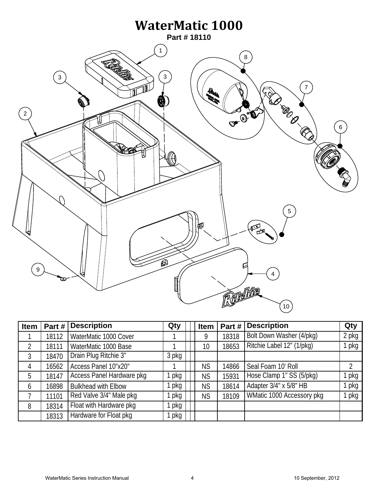

| Item           | Part# | <b>Description</b>         | Qty   | <b>Item</b> | Part# | <b>Description</b>        | Qty   |
|----------------|-------|----------------------------|-------|-------------|-------|---------------------------|-------|
|                | 18112 | WaterMatic 1000 Cover      |       | 9           | 18318 | Bolt Down Washer (4/pkg)  | 2 pkg |
| $\overline{2}$ | 18111 | WaterMatic 1000 Base       |       | 10          | 18653 | Ritchie Label 12" (1/pkg) | 1 pkg |
| 3              | 18470 | Drain Plug Ritchie 3"      | 3 pkg |             |       |                           |       |
| 4              | 16562 | Access Panel 10"x20"       |       | <b>NS</b>   | 14866 | Seal Foam 10' Roll        | 2     |
| 5              | 18147 | Access Panel Hardware pkg  | pkg   | <b>NS</b>   | 15931 | Hose Clamp 1" SS (5/pkg)  | pkg   |
| 6              | 16898 | <b>Bulkhead with Elbow</b> | pkg   | <b>NS</b>   | 18614 | Adapter 3/4" x 5/8" HB    | l pkg |
| 7              | 11101 | Red Valve 3/4" Male pkg    | pkg   | <b>NS</b>   | 18109 | WMatic 1000 Accessory pkg | 1 pkg |
| 8              | 18314 | Float with Hardware pkg    | pkg   |             |       |                           |       |
|                | 18313 | Hardware for Float pkg     | pkg   |             |       |                           |       |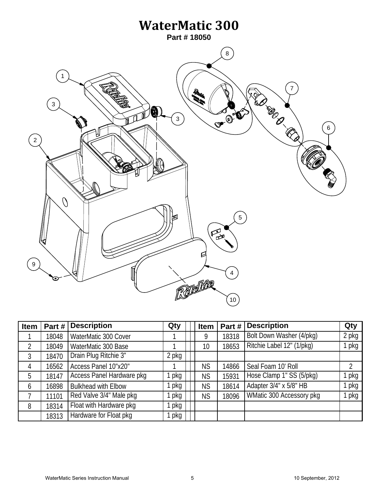

| <b>Item</b>    | Part# | <b>Description</b>         | Qty   | Item      | Part# | <b>Description</b>        | Qty   |
|----------------|-------|----------------------------|-------|-----------|-------|---------------------------|-------|
|                | 18048 | WaterMatic 300 Cover       |       | 9         | 18318 | Bolt Down Washer (4/pkg)  | 2 pkg |
| $\overline{2}$ | 18049 | WaterMatic 300 Base        |       | 10        | 18653 | Ritchie Label 12" (1/pkg) | 1 pkg |
| 3              | 18470 | Drain Plug Ritchie 3"      | 2 pkg |           |       |                           |       |
| 4              | 16562 | Access Panel 10"x20"       |       | <b>NS</b> | 14866 | Seal Foam 10' Roll        | 2     |
| 5              | 18147 | Access Panel Hardware pkg  | pkg   | <b>NS</b> | 15931 | Hose Clamp 1" SS (5/pkg)  | pkg   |
| 6              | 16898 | <b>Bulkhead with Elbow</b> | pkg   | <b>NS</b> | 18614 | Adapter 3/4" x 5/8" HB    | l pkg |
|                | 11101 | Red Valve 3/4" Male pkg    | pkg   | <b>NS</b> | 18096 | WMatic 300 Accessory pkg  | 1 pkg |
| 8              | 18314 | Float with Hardware pkg    | pkg   |           |       |                           |       |
|                | 18313 | Hardware for Float pkg     | pkg   |           |       |                           |       |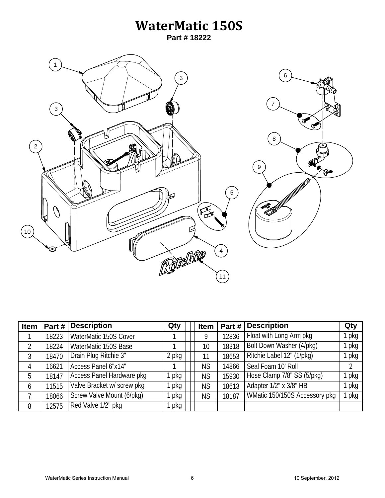## **WaterMatic 150S**

**Part # 18222**



| <b>Item</b> | Part# | <b>Description</b>         | Qty   | <b>Item</b> | Part # $\vert$ | <b>Description</b>            | Qty   |
|-------------|-------|----------------------------|-------|-------------|----------------|-------------------------------|-------|
|             | 18223 | WaterMatic 150S Cover      |       | 9           | 12836          | Float with Long Arm pkg       | pkg   |
| 2           | 18224 | WaterMatic 150S Base       |       | 10          | 18318          | Bolt Down Washer (4/pkg)      | ∣ pkg |
| 3           | 18470 | Drain Plug Ritchie 3"      | 2 pkg | 11          | 18653          | Ritchie Label 12" (1/pkg)     | 1 pkg |
| 4           | 16621 | Access Panel 6"x14"        |       | <b>NS</b>   | 14866          | Seal Foam 10' Roll            | 2     |
| 5           | 18147 | Access Panel Hardware pkg  | pkg   | <b>NS</b>   | 15930          | Hose Clamp 7/8" SS (5/pkg)    | pkg   |
| 6           | 11515 | Valve Bracket w/ screw pkg | pkg   | <b>NS</b>   | 18613          | Adapter 1/2" x 3/8" HB        | pkg   |
|             | 18066 | Screw Valve Mount (6/pkg)  | pkg   | <b>NS</b>   | 18187          | WMatic 150/150S Accessory pkg | 1 pkg |
| 8           | 12575 | Red Valve 1/2" pkg         | pkg   |             |                |                               |       |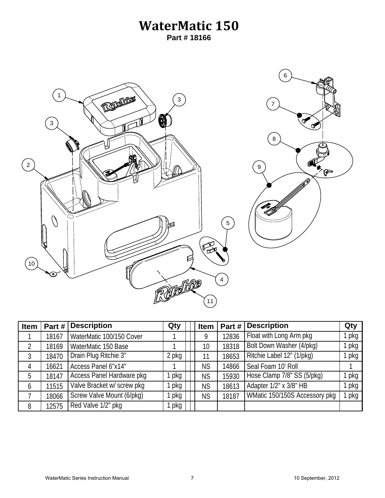## **WaterMatic 150 Part # 18166**

6 1 REFEREE 3 7 3 8  $\sqrt{2}$ 9 Թ  $\overline{O}$ 5  $\mathbb{Z}$ C  $\left(10\right)$ Refere 4 11

| <b>Item</b> | Part# | <b>Description</b>         | Qty   | <b>Item</b> | Part # | <b>Description</b>            | Qty   |
|-------------|-------|----------------------------|-------|-------------|--------|-------------------------------|-------|
|             | 18167 | WaterMatic 100/150 Cover   |       | 9           | 12836  | Float with Long Arm pkg       | l pkg |
|             | 18169 | WaterMatic 150 Base        |       | 10          | 18318  | Bolt Down Washer (4/pkg)      | pkg   |
| 3           | 18470 | Drain Plug Ritchie 3"      | 2 pkg | 11          | 18653  | Ritchie Label 12" (1/pkg)     | pkg   |
| 4           | 16621 | Access Panel 6"x14"        |       | <b>NS</b>   | 14866  | Seal Foam 10' Roll            |       |
| 5           | 18147 | Access Panel Hardware pkg  | pkg   | <b>NS</b>   | 15930  | Hose Clamp 7/8" SS (5/pkg)    | pkg   |
| 6           | 11515 | Valve Bracket w/ screw pkg | pkg   | <b>NS</b>   | 18613  | Adapter 1/2" x 3/8" HB        | pkg   |
|             | 18066 | Screw Valve Mount (6/pkg)  | pkg   | <b>NS</b>   | 18187  | WMatic 150/150S Accessory pkg | 1 pkg |
| 8           | 12575 | Red Valve 1/2" pkg         | pkg   |             |        |                               |       |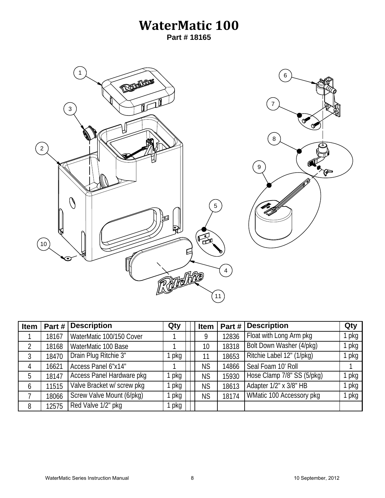## **WaterMatic 100 Part # 18165**



| <b>Item</b> | Part# | <b>Description</b>        | Qty | <b>Item</b> | Part # | <b>Description</b>         | Qty   |
|-------------|-------|---------------------------|-----|-------------|--------|----------------------------|-------|
|             | 18167 | WaterMatic 100/150 Cover  |     | 9           | 12836  | Float with Long Arm pkg    | pkg   |
| 2           | 18168 | WaterMatic 100 Base       |     | 10          | 18318  | Bolt Down Washer (4/pkg)   | l pkg |
| 3           | 18470 | Drain Plug Ritchie 3"     | pkg | 11          | 18653  | Ritchie Label 12" (1/pkg)  | 1 pkg |
| 4           | 16621 | Access Panel 6"x14"       |     | <b>NS</b>   | 14866  | Seal Foam 10' Roll         |       |
| 5           | 18147 | Access Panel Hardware pkg | pkg | <b>NS</b>   | 15930  | Hose Clamp 7/8" SS (5/pkg) | pkg   |
| 6           | 11515 | Valve Bracket w/screw pkg | pkg | <b>NS</b>   | 18613  | Adapter 1/2" x 3/8" HB     | pkg   |
| 7           | 18066 | Screw Valve Mount (6/pkg) | pkg | <b>NS</b>   | 18174  | WMatic 100 Accessory pkg   | 1 pkg |
| 8           | 12575 | Red Valve 1/2" pkg        | pkg |             |        |                            |       |